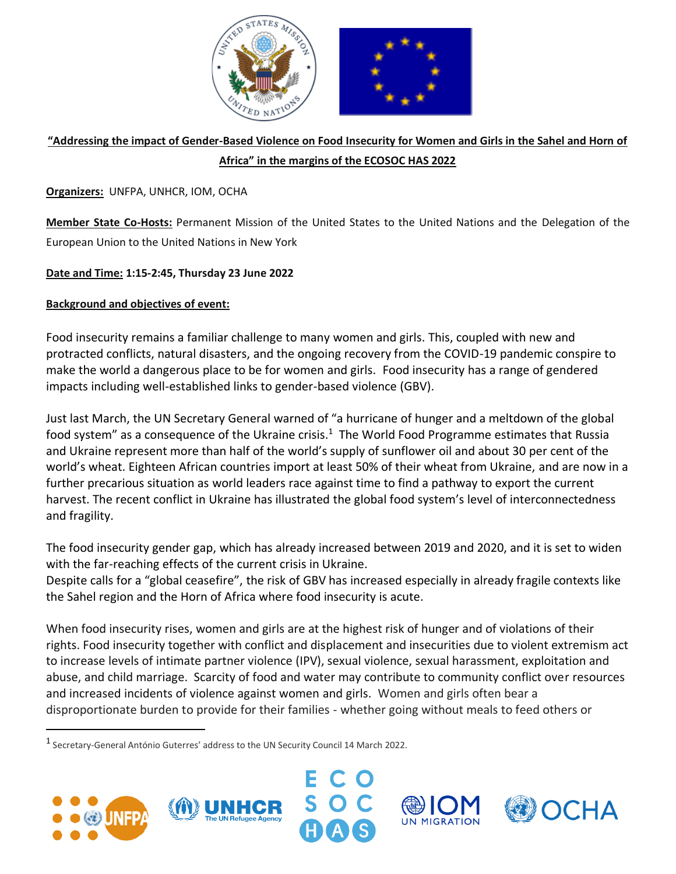

# **"Addressing the impact of Gender-Based Violence on Food Insecurity for Women and Girls in the Sahel and Horn of Africa" in the margins of the ECOSOC HAS 2022**

## **Organizers:** UNFPA, UNHCR, IOM, OCHA

**Member State Co-Hosts:** Permanent Mission of the United States to the United Nations and the Delegation of the European Union to the United Nations in New York

# **Date and Time: 1:15-2:45, Thursday 23 June 2022**

# **Background and objectives of event:**

Food insecurity remains a familiar challenge to many women and girls. This, coupled with new and protracted conflicts, natural disasters, and the ongoing recovery from the COVID-19 pandemic conspire to make the world a dangerous place to be for women and girls. Food insecurity has a range of gendered impacts including well-established links to gender-based violence (GBV).

Just last March, the UN Secretary General warned of "a hurricane of hunger and a meltdown of the global food system" as a consequence of the Ukraine crisis.<sup>1</sup> The World Food Programme estimates that Russia and Ukraine represent more than half of the world's supply of sunflower oil and about 30 per cent of the world's wheat. Eighteen African countries import at least 50% of their wheat from Ukraine, and are now in a further precarious situation as world leaders race against time to find a pathway to export the current harvest. The recent conflict in Ukraine has illustrated the global food system's level of interconnectedness and fragility.

The food insecurity gender gap, which has already increased between 2019 and 2020, and it is set to widen with the far-reaching effects of the current crisis in Ukraine.

Despite calls for a "global ceasefire", the risk of GBV has increased especially in already fragile contexts like the Sahel region and the Horn of Africa where food insecurity is acute.

When food insecurity rises, women and girls are at the highest risk of hunger and of violations of their rights. Food insecurity together with conflict and displacement and insecurities due to violent extremism act to increase levels of intimate partner violence (IPV), sexual violence, sexual harassment, exploitation and abuse, and child marriage. Scarcity of food and water may contribute to community conflict over resources and increased incidents of violence against women and girls. Women and girls often bear a disproportionate burden to provide for their families - whether going without meals to feed others or

<sup>1</sup> Secretary-General António Guterres' address to the UN Security Council 14 March 2022.





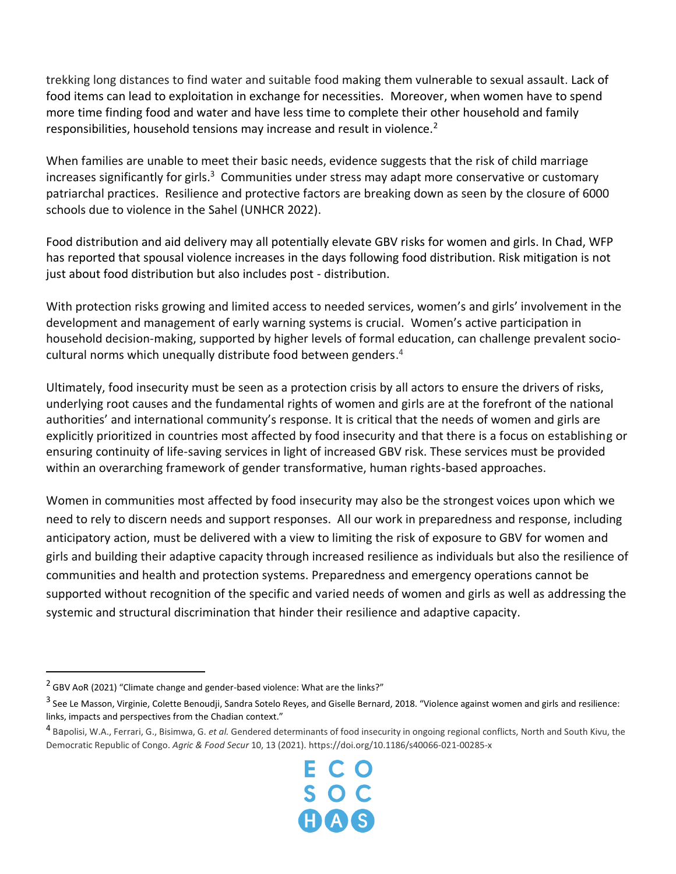trekking long distances to find water and suitable food making them vulnerable to sexual assault. Lack of food items can lead to exploitation in exchange for necessities. Moreover, when women have to spend more time finding food and water and have less time to complete their other household and family responsibilities, household tensions may increase and result in violence.<sup>2</sup>

When families are unable to meet their basic needs, evidence suggests that the risk of child marriage increases significantly for girls.<sup>3</sup> Communities under stress may adapt more conservative or customary patriarchal practices. Resilience and protective factors are breaking down as seen by the closure of 6000 schools due to violence in the Sahel (UNHCR 2022).

Food distribution and aid delivery may all potentially elevate GBV risks for women and girls. In Chad, WFP has reported that spousal violence increases in the days following food distribution. Risk mitigation is not just about food distribution but also includes post - distribution.

With protection risks growing and limited access to needed services, women's and girls' involvement in the development and management of early warning systems is crucial. Women's active participation in household decision-making, supported by higher levels of formal education, can challenge prevalent sociocultural norms which unequally distribute food between genders. 4

Ultimately, food insecurity must be seen as a protection crisis by all actors to ensure the drivers of risks, underlying root causes and the fundamental rights of women and girls are at the forefront of the national authorities' and international community's response. It is critical that the needs of women and girls are explicitly prioritized in countries most affected by food insecurity and that there is a focus on establishing or ensuring continuity of life-saving services in light of increased GBV risk. These services must be provided within an overarching framework of gender transformative, human rights-based approaches.

Women in communities most affected by food insecurity may also be the strongest voices upon which we need to rely to discern needs and support responses. All our work in preparedness and response, including anticipatory action, must be delivered with a view to limiting the risk of exposure to GBV for women and girls and building their adaptive capacity through increased resilience as individuals but also the resilience of communities and health and protection systems. Preparedness and emergency operations cannot be supported without recognition of the specific and varied needs of women and girls as well as addressing the systemic and structural discrimination that hinder their resilience and adaptive capacity.

<sup>4</sup> Bapolisi, W.A., Ferrari, G., Bisimwa, G. *et al.* Gendered determinants of food insecurity in ongoing regional conflicts, North and South Kivu, the Democratic Republic of Congo. *Agric & Food Secur* 10, 13 (2021). https://doi.org/10.1186/s40066-021-00285-x



<sup>&</sup>lt;sup>2</sup> GBV AoR (2021) "Climate change and gender-based violence: What are the links?"

<sup>&</sup>lt;sup>3</sup> See Le Masson, Virginie, Colette Benoudji, Sandra Sotelo Reyes, and Giselle Bernard, 2018. "Violence against women and girls and resilience: links, impacts and perspectives from the Chadian context."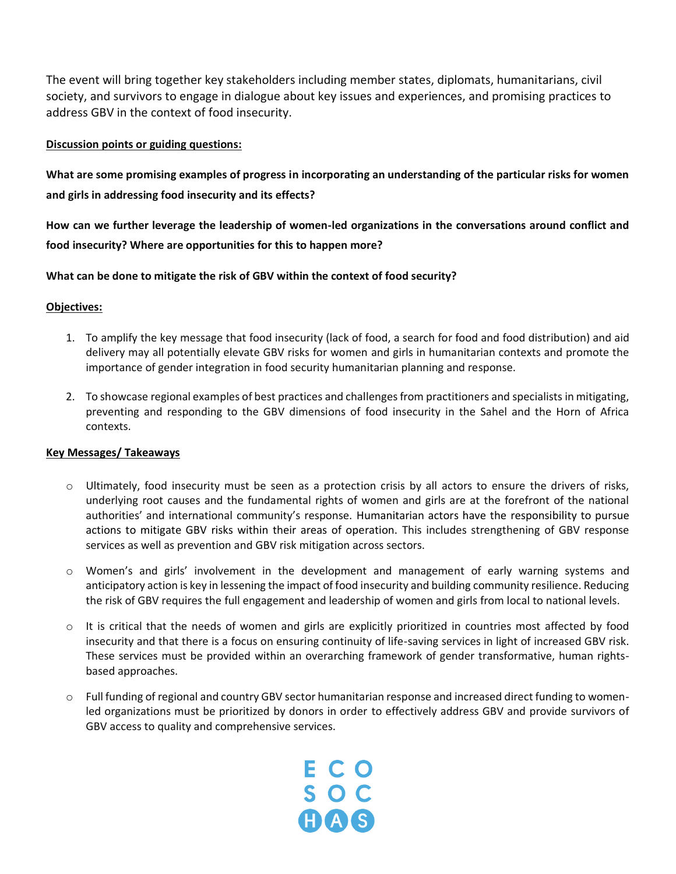The event will bring together key stakeholders including member states, diplomats, humanitarians, civil society, and survivors to engage in dialogue about key issues and experiences, and promising practices to address GBV in the context of food insecurity.

## **Discussion points or guiding questions:**

**What are some promising examples of progress in incorporating an understanding of the particular risks for women and girls in addressing food insecurity and its effects?**

**How can we further leverage the leadership of women-led organizations in the conversations around conflict and food insecurity? Where are opportunities for this to happen more?**

## **What can be done to mitigate the risk of GBV within the context of food security?**

## **Objectives:**

- 1. To amplify the key message that food insecurity (lack of food, a search for food and food distribution) and aid delivery may all potentially elevate GBV risks for women and girls in humanitarian contexts and promote the importance of gender integration in food security humanitarian planning and response.
- 2. To showcase regional examples of best practices and challenges from practitioners and specialists in mitigating, preventing and responding to the GBV dimensions of food insecurity in the Sahel and the Horn of Africa contexts.

## **Key Messages/ Takeaways**

- $\circ$  Ultimately, food insecurity must be seen as a protection crisis by all actors to ensure the drivers of risks, underlying root causes and the fundamental rights of women and girls are at the forefront of the national authorities' and international community's response. Humanitarian actors have the responsibility to pursue actions to mitigate GBV risks within their areas of operation. This includes strengthening of GBV response services as well as prevention and GBV risk mitigation across sectors.
- o Women's and girls' involvement in the development and management of early warning systems and anticipatory action is key in lessening the impact of food insecurity and building community resilience. Reducing the risk of GBV requires the full engagement and leadership of women and girls from local to national levels.
- o It is critical that the needs of women and girls are explicitly prioritized in countries most affected by food insecurity and that there is a focus on ensuring continuity of life-saving services in light of increased GBV risk. These services must be provided within an overarching framework of gender transformative, human rightsbased approaches.
- o Full funding of regional and country GBV sector humanitarian response and increased direct funding to womenled organizations must be prioritized by donors in order to effectively address GBV and provide survivors of GBV access to quality and comprehensive services.

ECO<br>SOC